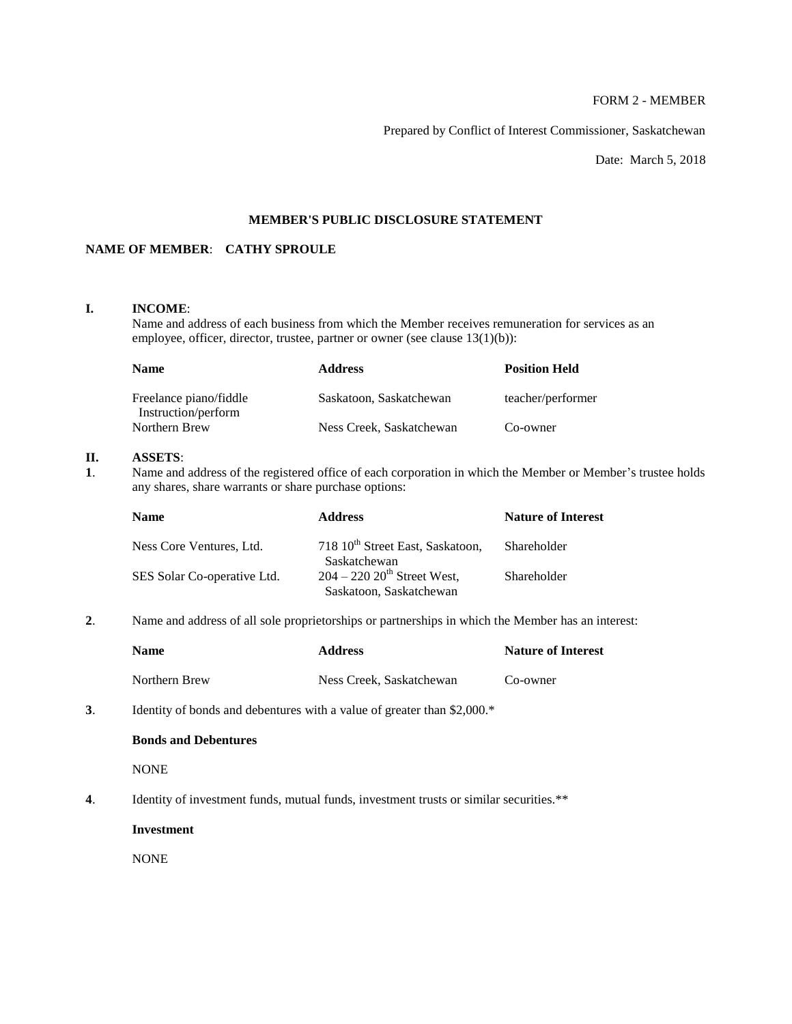# FORM 2 - MEMBER

Prepared by Conflict of Interest Commissioner, Saskatchewan

Date: March 5, 2018

## **MEMBER'S PUBLIC DISCLOSURE STATEMENT**

## **NAME OF MEMBER**: **CATHY SPROULE**

## **I. INCOME**:

Name and address of each business from which the Member receives remuneration for services as an employee, officer, director, trustee, partner or owner (see clause 13(1)(b)):

| <b>Name</b>                                   | <b>Address</b>           | <b>Position Held</b> |
|-----------------------------------------------|--------------------------|----------------------|
| Freelance piano/fiddle<br>Instruction/perform | Saskatoon, Saskatchewan  | teacher/performer    |
| Northern Brew                                 | Ness Creek, Saskatchewan | Co-owner             |

### **II. ASSETS**:

**1**. Name and address of the registered office of each corporation in which the Member or Member's trustee holds any shares, share warrants or share purchase options:

| <b>Address</b>                               | <b>Nature of Interest</b>               |
|----------------------------------------------|-----------------------------------------|
| 718 10 <sup>th</sup> Street East, Saskatoon, | Shareholder                             |
| $204 - 220$ $20th$ Street West,              | Shareholder                             |
|                                              | Saskatchewan<br>Saskatoon, Saskatchewan |

**2**. Name and address of all sole proprietorships or partnerships in which the Member has an interest:

| <b>Name</b>   | <b>Address</b>           | <b>Nature of Interest</b> |
|---------------|--------------------------|---------------------------|
| Northern Brew | Ness Creek, Saskatchewan | Co-owner                  |

**3**. Identity of bonds and debentures with a value of greater than \$2,000.\*

### **Bonds and Debentures**

**NONE** 

**4**. Identity of investment funds, mutual funds, investment trusts or similar securities.\*\*

**Investment**

NONE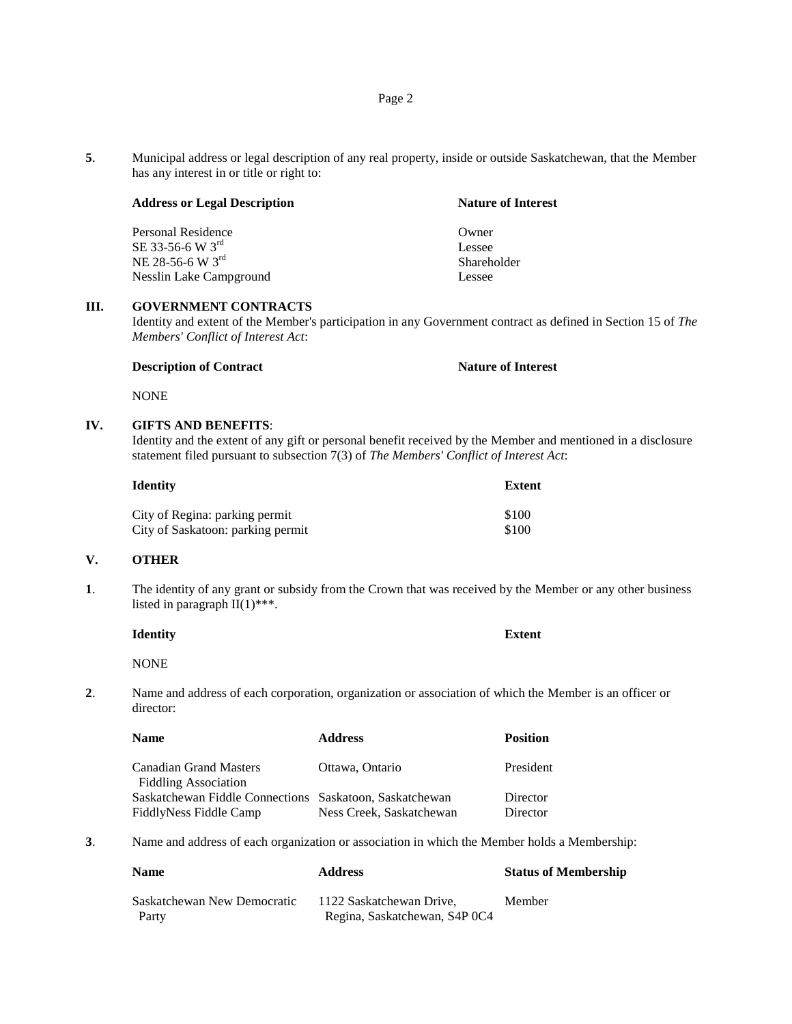**5**. Municipal address or legal description of any real property, inside or outside Saskatchewan, that the Member has any interest in or title or right to:

|  |  | <b>Address or Legal Description</b> |
|--|--|-------------------------------------|
|--|--|-------------------------------------|

Personal Residence Owner  $SE$  33-56-6 W  $3<sup>rd</sup>$  Lessee NE 28-56-6 W  $3^{rd}$  Shareholder Nesslin Lake Campground Lessee

#### **III. GOVERNMENT CONTRACTS**

Identity and extent of the Member's participation in any Government contract as defined in Section 15 of *The Members' Conflict of Interest Act*:

#### **Description of Contract Nature of Interest**

NONE

## **IV. GIFTS AND BENEFITS**:

Identity and the extent of any gift or personal benefit received by the Member and mentioned in a disclosure statement filed pursuant to subsection 7(3) of *The Members' Conflict of Interest Act*:

| <b>Identity</b>                   | Extent |
|-----------------------------------|--------|
| City of Regina: parking permit    | \$100  |
| City of Saskatoon: parking permit | \$100  |

#### **V. OTHER**

**1**. The identity of any grant or subsidy from the Crown that was received by the Member or any other business listed in paragraph  $II(1)$ \*\*\*.

| <b>Identity</b>    |                                                                                                                 |   | <b>Extent</b> |
|--------------------|-----------------------------------------------------------------------------------------------------------------|---|---------------|
| <b>NONE</b>        |                                                                                                                 |   |               |
| $\sim$ $\sim$<br>. | the contract of the contract of the contract of the contract of the contract of the contract of the contract of | . | .             |

**2**. Name and address of each corporation, organization or association of which the Member is an officer or director:

| <b>Name</b>                                                                       | <b>Address</b>           | <b>Position</b>      |
|-----------------------------------------------------------------------------------|--------------------------|----------------------|
| <b>Canadian Grand Masters</b><br><b>Fiddling Association</b>                      | Ottawa, Ontario          | President            |
| Saskatchewan Fiddle Connections Saskatoon, Saskatchewan<br>FiddlyNess Fiddle Camp | Ness Creek, Saskatchewan | Director<br>Director |

**3**. Name and address of each organization or association in which the Member holds a Membership:

| <b>Name</b>                 | <b>Address</b>                | <b>Status of Membership</b> |
|-----------------------------|-------------------------------|-----------------------------|
| Saskatchewan New Democratic | 1122 Saskatchewan Drive.      | Member                      |
| Party                       | Regina, Saskatchewan, S4P 0C4 |                             |

**Nature of Interest**